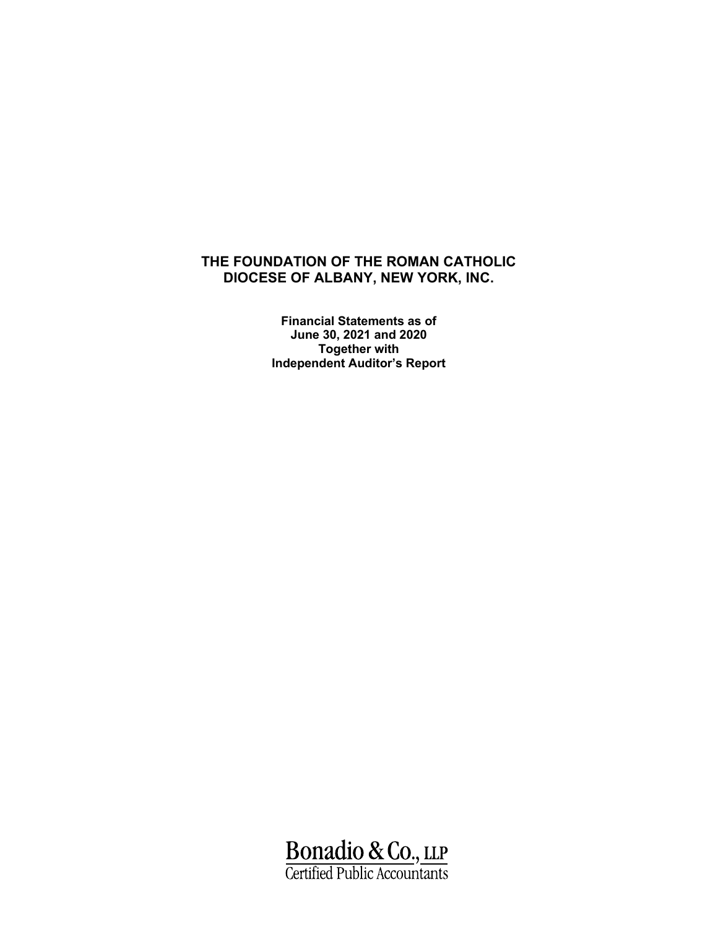**Financial Statements as of June 30, 2021 and 2020 Together with Independent Auditor's Report**

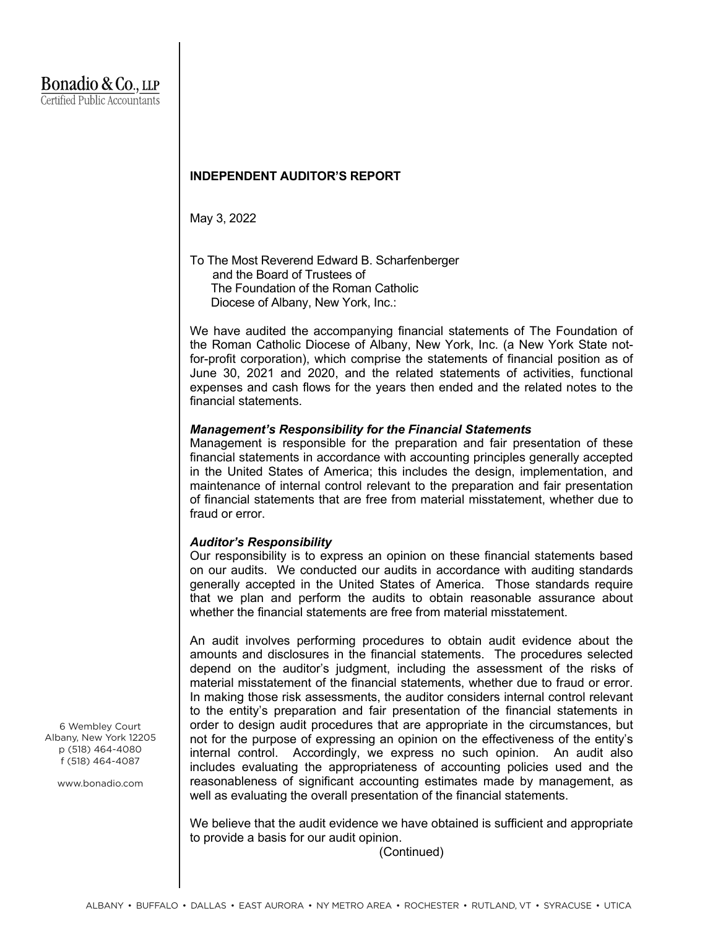# **INDEPENDENT AUDITOR'S REPORT**

May 3, 2022

To The Most Reverend Edward B. Scharfenberger and the Board of Trustees of The Foundation of the Roman Catholic Diocese of Albany, New York, Inc.:

We have audited the accompanying financial statements of The Foundation of the Roman Catholic Diocese of Albany, New York, Inc. (a New York State notfor-profit corporation), which comprise the statements of financial position as of June 30, 2021 and 2020, and the related statements of activities, functional expenses and cash flows for the years then ended and the related notes to the financial statements.

# *Management's Responsibility for the Financial Statements*

Management is responsible for the preparation and fair presentation of these financial statements in accordance with accounting principles generally accepted in the United States of America; this includes the design, implementation, and maintenance of internal control relevant to the preparation and fair presentation of financial statements that are free from material misstatement, whether due to fraud or error.

# *Auditor's Responsibility*

Our responsibility is to express an opinion on these financial statements based on our audits. We conducted our audits in accordance with auditing standards generally accepted in the United States of America. Those standards require that we plan and perform the audits to obtain reasonable assurance about whether the financial statements are free from material misstatement.

An audit involves performing procedures to obtain audit evidence about the amounts and disclosures in the financial statements. The procedures selected depend on the auditor's judgment, including the assessment of the risks of material misstatement of the financial statements, whether due to fraud or error. In making those risk assessments, the auditor considers internal control relevant to the entity's preparation and fair presentation of the financial statements in order to design audit procedures that are appropriate in the circumstances, but not for the purpose of expressing an opinion on the effectiveness of the entity's internal control. Accordingly, we express no such opinion. An audit also includes evaluating the appropriateness of accounting policies used and the reasonableness of significant accounting estimates made by management, as well as evaluating the overall presentation of the financial statements.

We believe that the audit evidence we have obtained is sufficient and appropriate to provide a basis for our audit opinion.

(Continued)

6 Wembley Court Albany, New York 12205 p (518) 464-4080 f (518) 464-4087

www.bonadio.com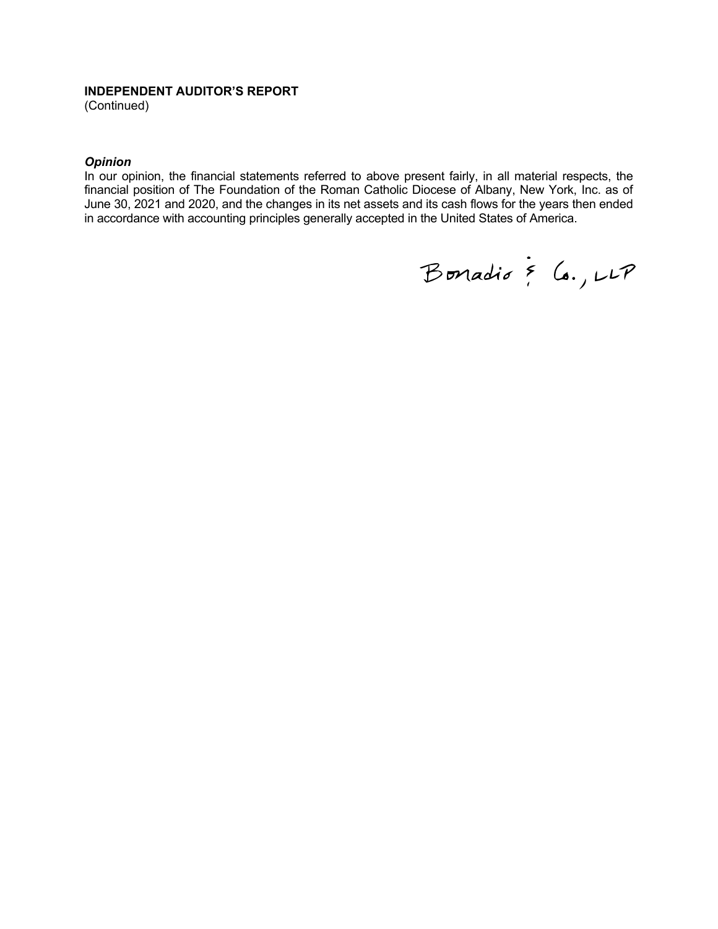### **INDEPENDENT AUDITOR'S REPORT**

(Continued)

### *Opinion*

In our opinion, the financial statements referred to above present fairly, in all material respects, the financial position of The Foundation of the Roman Catholic Diocese of Albany, New York, Inc. as of June 30, 2021 and 2020, and the changes in its net assets and its cash flows for the years then ended in accordance with accounting principles generally accepted in the United States of America.

Bonadio & Co., LLP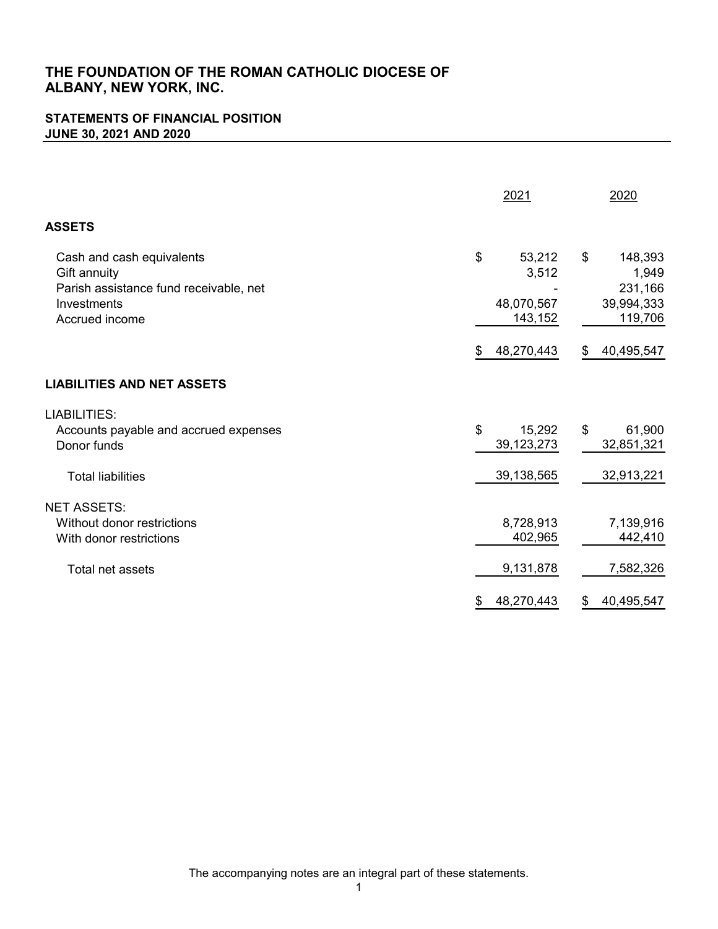# **STATEMENTS OF FINANCIAL POSITION JUNE 30, 2021 AND 2020**

|                                                                                                                      | 2021                                           | 2020                                                       |
|----------------------------------------------------------------------------------------------------------------------|------------------------------------------------|------------------------------------------------------------|
| <b>ASSETS</b>                                                                                                        |                                                |                                                            |
| Cash and cash equivalents<br>Gift annuity<br>Parish assistance fund receivable, net<br>Investments<br>Accrued income | \$<br>53,212<br>3,512<br>48,070,567<br>143,152 | \$<br>148,393<br>1,949<br>231,166<br>39,994,333<br>119,706 |
|                                                                                                                      | \$<br>48,270,443                               | \$<br>40,495,547                                           |
| <b>LIABILITIES AND NET ASSETS</b>                                                                                    |                                                |                                                            |
| <b>LIABILITIES:</b><br>Accounts payable and accrued expenses<br>Donor funds                                          | \$<br>15,292<br>39, 123, 273                   | \$<br>61,900<br>32,851,321                                 |
| <b>Total liabilities</b>                                                                                             | 39,138,565                                     | 32,913,221                                                 |
| <b>NET ASSETS:</b><br>Without donor restrictions<br>With donor restrictions<br><b>Total net assets</b>               | 8,728,913<br>402,965<br>9,131,878              | 7,139,916<br>442,410<br>7,582,326                          |
|                                                                                                                      | \$<br>48,270,443                               | \$<br>40,495,547                                           |

The accompanying notes are an integral part of these statements.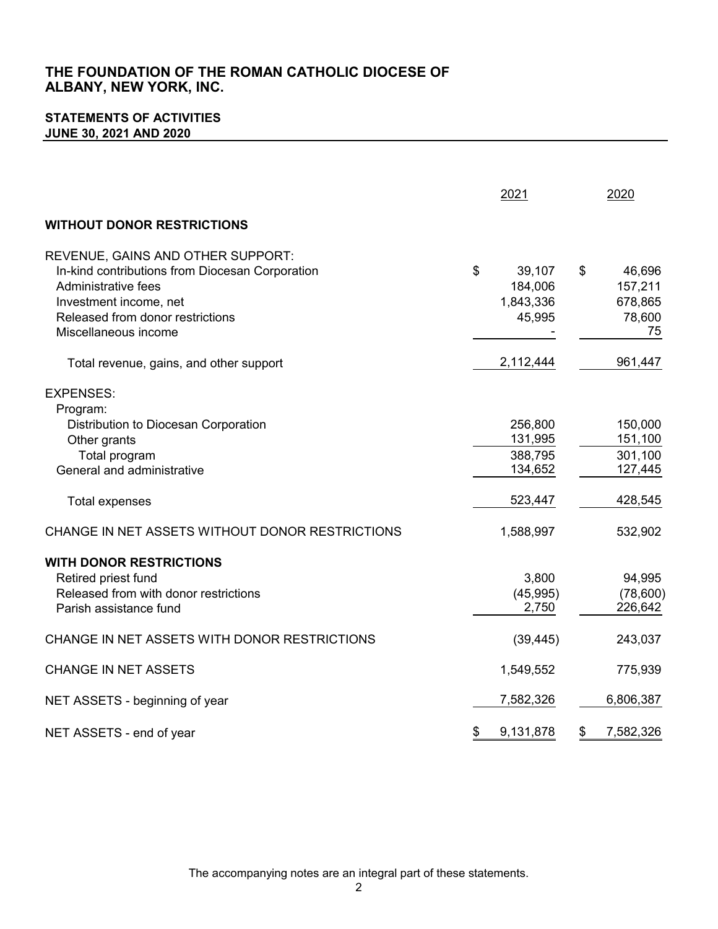# **STATEMENTS OF ACTIVITIES JUNE 30, 2021 AND 2020**

|                                                                                                                                                                                                   | 2021                                           | 2020                                               |
|---------------------------------------------------------------------------------------------------------------------------------------------------------------------------------------------------|------------------------------------------------|----------------------------------------------------|
| <b>WITHOUT DONOR RESTRICTIONS</b>                                                                                                                                                                 |                                                |                                                    |
| REVENUE, GAINS AND OTHER SUPPORT:<br>In-kind contributions from Diocesan Corporation<br>Administrative fees<br>Investment income, net<br>Released from donor restrictions<br>Miscellaneous income | \$<br>39,107<br>184,006<br>1,843,336<br>45,995 | \$<br>46,696<br>157,211<br>678,865<br>78,600<br>75 |
| Total revenue, gains, and other support                                                                                                                                                           | 2,112,444                                      | 961,447                                            |
| <b>EXPENSES:</b><br>Program:<br>Distribution to Diocesan Corporation<br>Other grants<br>Total program<br>General and administrative                                                               | 256,800<br>131,995<br>388,795<br>134,652       | 150,000<br>151,100<br>301,100<br>127,445           |
| Total expenses                                                                                                                                                                                    | 523,447                                        | 428,545                                            |
| CHANGE IN NET ASSETS WITHOUT DONOR RESTRICTIONS                                                                                                                                                   | 1,588,997                                      | 532,902                                            |
| <b>WITH DONOR RESTRICTIONS</b><br>Retired priest fund<br>Released from with donor restrictions<br>Parish assistance fund                                                                          | 3,800<br>(45, 995)<br>2,750                    | 94,995<br>(78,600)<br>226,642                      |
| CHANGE IN NET ASSETS WITH DONOR RESTRICTIONS                                                                                                                                                      | (39, 445)                                      | 243,037                                            |
| <b>CHANGE IN NET ASSETS</b>                                                                                                                                                                       | 1,549,552                                      | 775,939                                            |
| NET ASSETS - beginning of year                                                                                                                                                                    | 7,582,326                                      | 6,806,387                                          |
| NET ASSETS - end of year                                                                                                                                                                          | \$<br>9,131,878                                | \$<br>7,582,326                                    |

The accompanying notes are an integral part of these statements.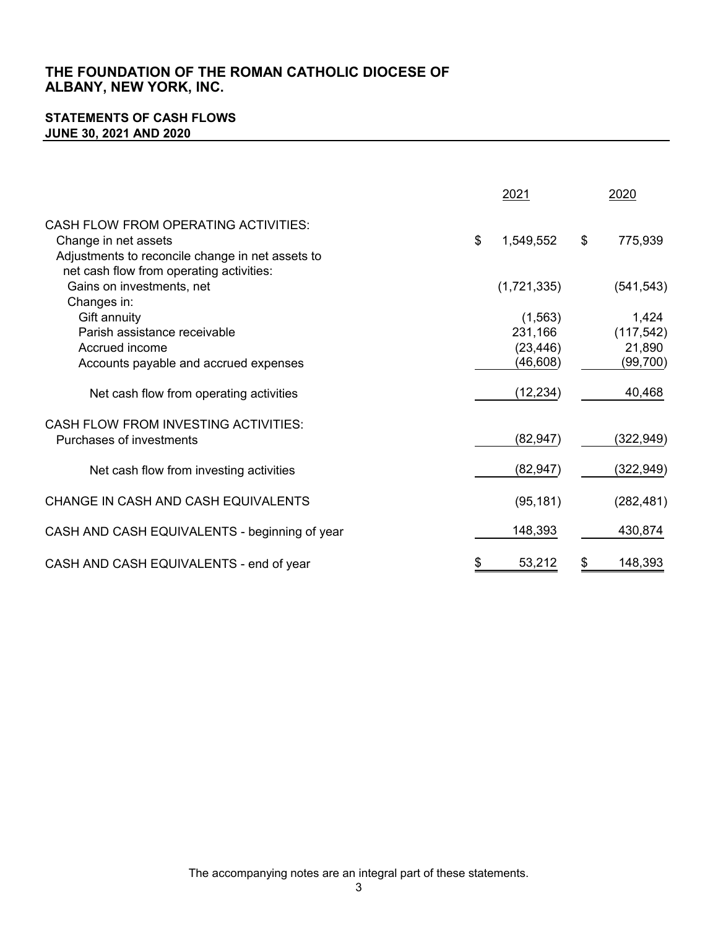# **STATEMENTS OF CASH FLOWS JUNE 30, 2021 AND 2020**

|                                                                                                                         | 2021                                         | 2020                                       |
|-------------------------------------------------------------------------------------------------------------------------|----------------------------------------------|--------------------------------------------|
| <b>CASH FLOW FROM OPERATING ACTIVITIES:</b><br>Change in net assets<br>Adjustments to reconcile change in net assets to | \$<br>1,549,552                              | \$<br>775,939                              |
| net cash flow from operating activities:<br>Gains on investments, net<br>Changes in:                                    | (1,721,335)                                  | (541, 543)                                 |
| Gift annuity<br>Parish assistance receivable<br>Accrued income<br>Accounts payable and accrued expenses                 | (1, 563)<br>231,166<br>(23, 446)<br>(46,608) | 1,424<br>(117, 542)<br>21,890<br>(99, 700) |
| Net cash flow from operating activities                                                                                 | (12, 234)                                    | 40,468                                     |
| CASH FLOW FROM INVESTING ACTIVITIES:<br>Purchases of investments                                                        | (82, 947)                                    | (322, 949)                                 |
| Net cash flow from investing activities                                                                                 | (82, 947)                                    | (322,949)                                  |
| CHANGE IN CASH AND CASH EQUIVALENTS                                                                                     | (95, 181)                                    | (282, 481)                                 |
| CASH AND CASH EQUIVALENTS - beginning of year                                                                           | 148,393                                      | 430,874                                    |
| CASH AND CASH EQUIVALENTS - end of year                                                                                 | \$<br>53,212                                 | \$<br>148,393                              |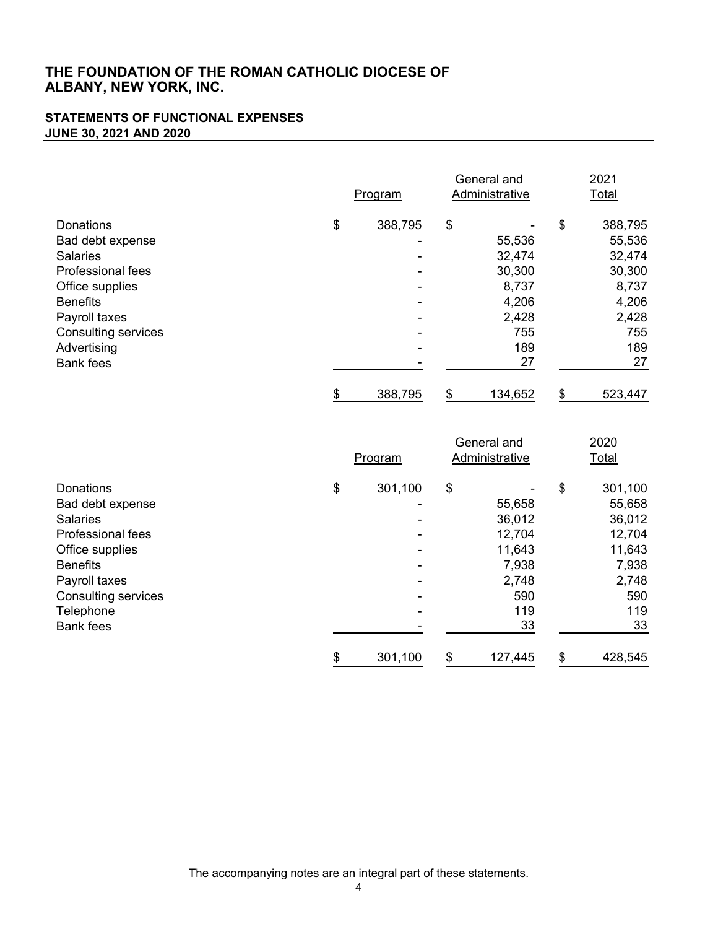## **STATEMENTS OF FUNCTIONAL EXPENSES JUNE 30, 2021 AND 2020**

|                            | Program       | General and<br>Administrative | 2021<br>Total |
|----------------------------|---------------|-------------------------------|---------------|
| Donations                  | \$<br>388,795 | \$                            | \$<br>388,795 |
| Bad debt expense           |               | 55,536                        | 55,536        |
| <b>Salaries</b>            |               | 32,474                        | 32,474        |
| <b>Professional fees</b>   |               | 30,300                        | 30,300        |
| Office supplies            |               | 8,737                         | 8,737         |
| <b>Benefits</b>            |               | 4,206                         | 4,206         |
| Payroll taxes              |               | 2,428                         | 2,428         |
| <b>Consulting services</b> |               | 755                           | 755           |
| Advertising                |               | 189                           | 189           |
| <b>Bank fees</b>           |               | 27                            | 27            |
|                            | \$<br>388,795 | \$<br>134,652                 | \$<br>523,447 |

|                            | Program       | General and<br>Administrative | 2020<br><b>Total</b> |
|----------------------------|---------------|-------------------------------|----------------------|
| Donations                  | \$<br>301,100 | \$                            | \$<br>301,100        |
| Bad debt expense           |               | 55,658                        | 55,658               |
| <b>Salaries</b>            |               | 36,012                        | 36,012               |
| <b>Professional fees</b>   |               | 12,704                        | 12,704               |
| Office supplies            |               | 11,643                        | 11,643               |
| <b>Benefits</b>            |               | 7,938                         | 7,938                |
| Payroll taxes              |               | 2,748                         | 2,748                |
| <b>Consulting services</b> |               | 590                           | 590                  |
| Telephone                  |               | 119                           | 119                  |
| <b>Bank fees</b>           |               | 33                            | 33                   |
|                            | \$<br>301,100 | \$<br>127,445                 | \$<br>428,545        |

The accompanying notes are an integral part of these statements.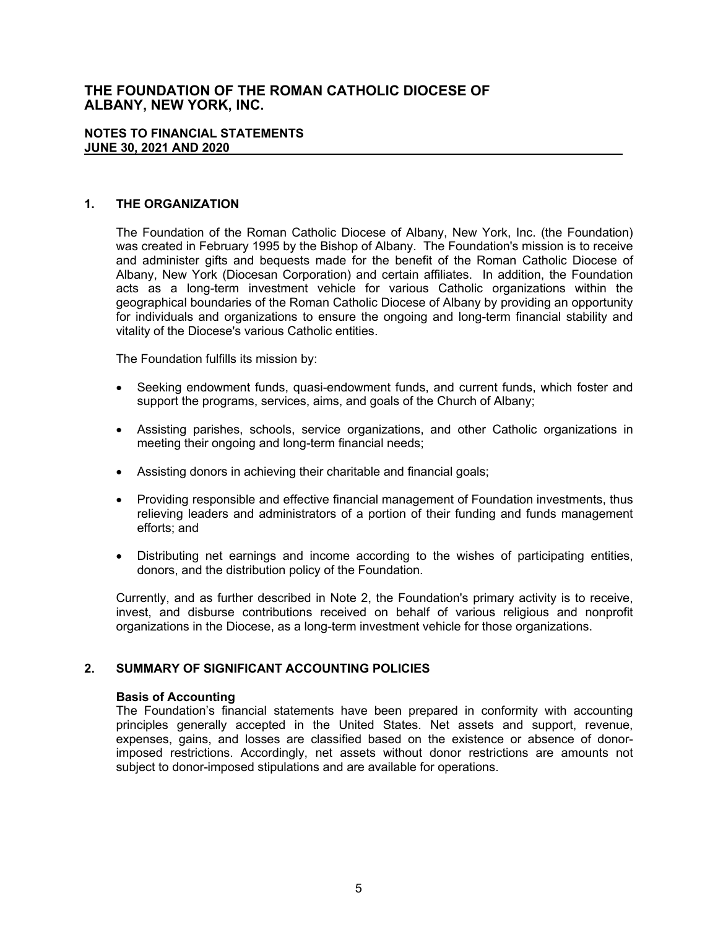#### **NOTES TO FINANCIAL STATEMENTS JUNE 30, 2021 AND 2020**

### **1. THE ORGANIZATION**

The Foundation of the Roman Catholic Diocese of Albany, New York, Inc. (the Foundation) was created in February 1995 by the Bishop of Albany. The Foundation's mission is to receive and administer gifts and bequests made for the benefit of the Roman Catholic Diocese of Albany, New York (Diocesan Corporation) and certain affiliates. In addition, the Foundation acts as a long-term investment vehicle for various Catholic organizations within the geographical boundaries of the Roman Catholic Diocese of Albany by providing an opportunity for individuals and organizations to ensure the ongoing and long-term financial stability and vitality of the Diocese's various Catholic entities.

The Foundation fulfills its mission by:

- Seeking endowment funds, quasi-endowment funds, and current funds, which foster and support the programs, services, aims, and goals of the Church of Albany;
- Assisting parishes, schools, service organizations, and other Catholic organizations in meeting their ongoing and long-term financial needs;
- Assisting donors in achieving their charitable and financial goals;
- Providing responsible and effective financial management of Foundation investments, thus relieving leaders and administrators of a portion of their funding and funds management efforts; and
- Distributing net earnings and income according to the wishes of participating entities, donors, and the distribution policy of the Foundation.

Currently, and as further described in Note 2, the Foundation's primary activity is to receive, invest, and disburse contributions received on behalf of various religious and nonprofit organizations in the Diocese, as a long-term investment vehicle for those organizations.

### **2. SUMMARY OF SIGNIFICANT ACCOUNTING POLICIES**

#### **Basis of Accounting**

The Foundation's financial statements have been prepared in conformity with accounting principles generally accepted in the United States. Net assets and support, revenue, expenses, gains, and losses are classified based on the existence or absence of donorimposed restrictions. Accordingly, net assets without donor restrictions are amounts not subject to donor-imposed stipulations and are available for operations.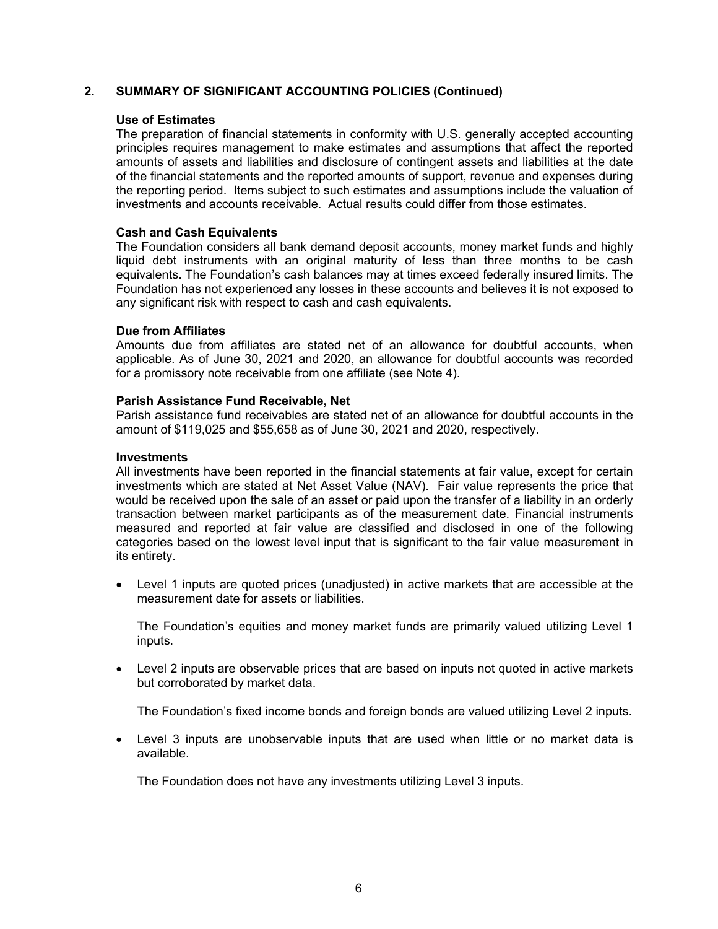### **2. SUMMARY OF SIGNIFICANT ACCOUNTING POLICIES (Continued)**

#### **Use of Estimates**

The preparation of financial statements in conformity with U.S. generally accepted accounting principles requires management to make estimates and assumptions that affect the reported amounts of assets and liabilities and disclosure of contingent assets and liabilities at the date of the financial statements and the reported amounts of support, revenue and expenses during the reporting period. Items subject to such estimates and assumptions include the valuation of investments and accounts receivable. Actual results could differ from those estimates.

#### **Cash and Cash Equivalents**

The Foundation considers all bank demand deposit accounts, money market funds and highly liquid debt instruments with an original maturity of less than three months to be cash equivalents. The Foundation's cash balances may at times exceed federally insured limits. The Foundation has not experienced any losses in these accounts and believes it is not exposed to any significant risk with respect to cash and cash equivalents.

#### **Due from Affiliates**

Amounts due from affiliates are stated net of an allowance for doubtful accounts, when applicable. As of June 30, 2021 and 2020, an allowance for doubtful accounts was recorded for a promissory note receivable from one affiliate (see Note 4).

#### **Parish Assistance Fund Receivable, Net**

Parish assistance fund receivables are stated net of an allowance for doubtful accounts in the amount of \$119,025 and \$55,658 as of June 30, 2021 and 2020, respectively.

#### **Investments**

All investments have been reported in the financial statements at fair value, except for certain investments which are stated at Net Asset Value (NAV). Fair value represents the price that would be received upon the sale of an asset or paid upon the transfer of a liability in an orderly transaction between market participants as of the measurement date. Financial instruments measured and reported at fair value are classified and disclosed in one of the following categories based on the lowest level input that is significant to the fair value measurement in its entirety.

 Level 1 inputs are quoted prices (unadjusted) in active markets that are accessible at the measurement date for assets or liabilities.

The Foundation's equities and money market funds are primarily valued utilizing Level 1 inputs.

 Level 2 inputs are observable prices that are based on inputs not quoted in active markets but corroborated by market data.

The Foundation's fixed income bonds and foreign bonds are valued utilizing Level 2 inputs.

 Level 3 inputs are unobservable inputs that are used when little or no market data is available.

The Foundation does not have any investments utilizing Level 3 inputs.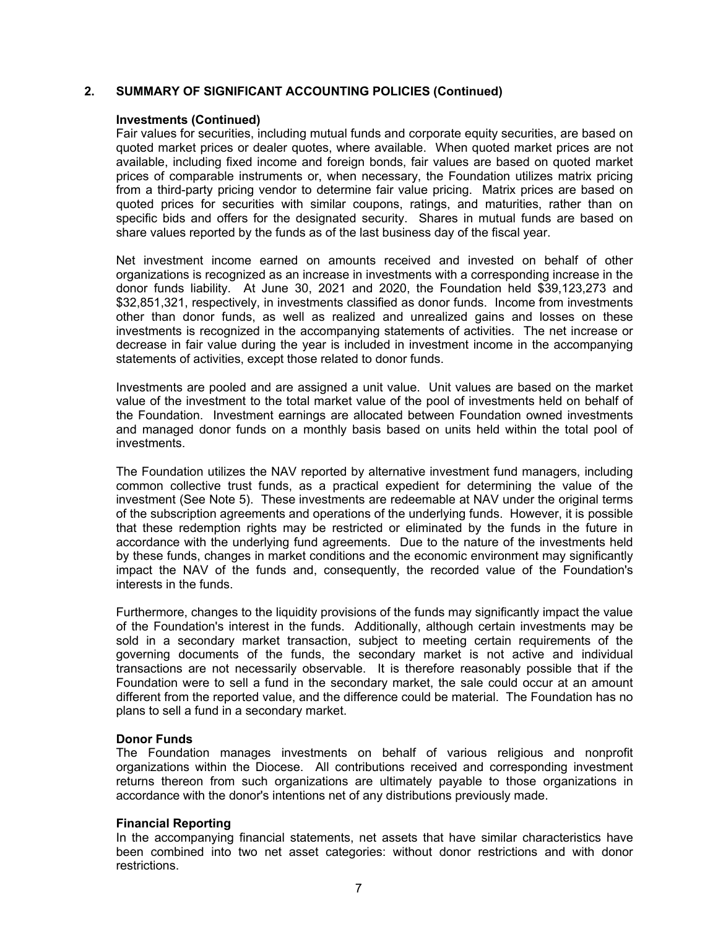### **2. SUMMARY OF SIGNIFICANT ACCOUNTING POLICIES (Continued)**

#### **Investments (Continued)**

Fair values for securities, including mutual funds and corporate equity securities, are based on quoted market prices or dealer quotes, where available. When quoted market prices are not available, including fixed income and foreign bonds, fair values are based on quoted market prices of comparable instruments or, when necessary, the Foundation utilizes matrix pricing from a third-party pricing vendor to determine fair value pricing. Matrix prices are based on quoted prices for securities with similar coupons, ratings, and maturities, rather than on specific bids and offers for the designated security. Shares in mutual funds are based on share values reported by the funds as of the last business day of the fiscal year.

Net investment income earned on amounts received and invested on behalf of other organizations is recognized as an increase in investments with a corresponding increase in the donor funds liability. At June 30, 2021 and 2020, the Foundation held \$39,123,273 and \$32,851,321, respectively, in investments classified as donor funds. Income from investments other than donor funds, as well as realized and unrealized gains and losses on these investments is recognized in the accompanying statements of activities. The net increase or decrease in fair value during the year is included in investment income in the accompanying statements of activities, except those related to donor funds.

Investments are pooled and are assigned a unit value. Unit values are based on the market value of the investment to the total market value of the pool of investments held on behalf of the Foundation. Investment earnings are allocated between Foundation owned investments and managed donor funds on a monthly basis based on units held within the total pool of investments.

The Foundation utilizes the NAV reported by alternative investment fund managers, including common collective trust funds, as a practical expedient for determining the value of the investment (See Note 5). These investments are redeemable at NAV under the original terms of the subscription agreements and operations of the underlying funds. However, it is possible that these redemption rights may be restricted or eliminated by the funds in the future in accordance with the underlying fund agreements. Due to the nature of the investments held by these funds, changes in market conditions and the economic environment may significantly impact the NAV of the funds and, consequently, the recorded value of the Foundation's interests in the funds.

Furthermore, changes to the liquidity provisions of the funds may significantly impact the value of the Foundation's interest in the funds. Additionally, although certain investments may be sold in a secondary market transaction, subject to meeting certain requirements of the governing documents of the funds, the secondary market is not active and individual transactions are not necessarily observable. It is therefore reasonably possible that if the Foundation were to sell a fund in the secondary market, the sale could occur at an amount different from the reported value, and the difference could be material. The Foundation has no plans to sell a fund in a secondary market.

#### **Donor Funds**

The Foundation manages investments on behalf of various religious and nonprofit organizations within the Diocese. All contributions received and corresponding investment returns thereon from such organizations are ultimately payable to those organizations in accordance with the donor's intentions net of any distributions previously made.

#### **Financial Reporting**

In the accompanying financial statements, net assets that have similar characteristics have been combined into two net asset categories: without donor restrictions and with donor restrictions.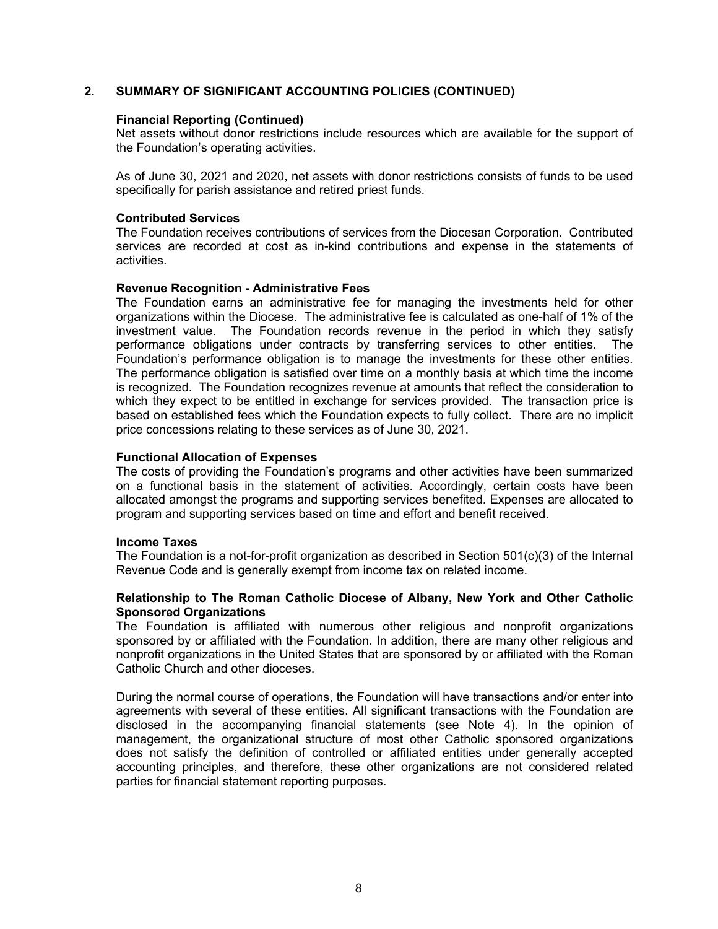### **2. SUMMARY OF SIGNIFICANT ACCOUNTING POLICIES (CONTINUED)**

#### **Financial Reporting (Continued)**

Net assets without donor restrictions include resources which are available for the support of the Foundation's operating activities.

As of June 30, 2021 and 2020, net assets with donor restrictions consists of funds to be used specifically for parish assistance and retired priest funds.

#### **Contributed Services**

The Foundation receives contributions of services from the Diocesan Corporation. Contributed services are recorded at cost as in-kind contributions and expense in the statements of activities.

#### **Revenue Recognition - Administrative Fees**

The Foundation earns an administrative fee for managing the investments held for other organizations within the Diocese. The administrative fee is calculated as one-half of 1% of the investment value. The Foundation records revenue in the period in which they satisfy performance obligations under contracts by transferring services to other entities. The Foundation's performance obligation is to manage the investments for these other entities. The performance obligation is satisfied over time on a monthly basis at which time the income is recognized. The Foundation recognizes revenue at amounts that reflect the consideration to which they expect to be entitled in exchange for services provided. The transaction price is based on established fees which the Foundation expects to fully collect. There are no implicit price concessions relating to these services as of June 30, 2021.

#### **Functional Allocation of Expenses**

The costs of providing the Foundation's programs and other activities have been summarized on a functional basis in the statement of activities. Accordingly, certain costs have been allocated amongst the programs and supporting services benefited. Expenses are allocated to program and supporting services based on time and effort and benefit received.

#### **Income Taxes**

The Foundation is a not-for-profit organization as described in Section 501(c)(3) of the Internal Revenue Code and is generally exempt from income tax on related income.

#### **Relationship to The Roman Catholic Diocese of Albany, New York and Other Catholic Sponsored Organizations**

The Foundation is affiliated with numerous other religious and nonprofit organizations sponsored by or affiliated with the Foundation. In addition, there are many other religious and nonprofit organizations in the United States that are sponsored by or affiliated with the Roman Catholic Church and other dioceses.

During the normal course of operations, the Foundation will have transactions and/or enter into agreements with several of these entities. All significant transactions with the Foundation are disclosed in the accompanying financial statements (see Note 4). In the opinion of management, the organizational structure of most other Catholic sponsored organizations does not satisfy the definition of controlled or affiliated entities under generally accepted accounting principles, and therefore, these other organizations are not considered related parties for financial statement reporting purposes.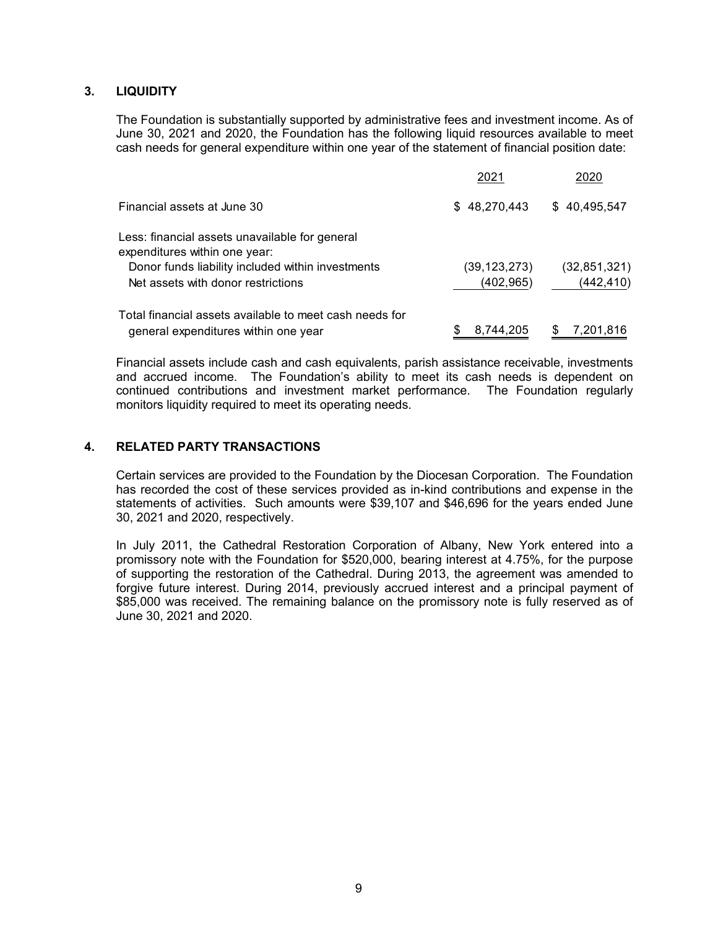### **3. LIQUIDITY**

The Foundation is substantially supported by administrative fees and investment income. As of June 30, 2021 and 2020, the Foundation has the following liquid resources available to meet cash needs for general expenditure within one year of the statement of financial position date:

|                                                                                                 | 2021                         | 2020                         |
|-------------------------------------------------------------------------------------------------|------------------------------|------------------------------|
| Financial assets at June 30                                                                     | \$48,270,443                 | \$40,495,547                 |
| Less: financial assets unavailable for general<br>expenditures within one year:                 |                              |                              |
| Donor funds liability included within investments<br>Net assets with donor restrictions         | (39, 123, 273)<br>(402, 965) | (32, 851, 321)<br>(442, 410) |
| Total financial assets available to meet cash needs for<br>general expenditures within one year | 8,744,205                    | 7,201,816<br>\$              |

Financial assets include cash and cash equivalents, parish assistance receivable, investments and accrued income. The Foundation's ability to meet its cash needs is dependent on continued contributions and investment market performance. The Foundation regularly monitors liquidity required to meet its operating needs.

### **4. RELATED PARTY TRANSACTIONS**

Certain services are provided to the Foundation by the Diocesan Corporation. The Foundation has recorded the cost of these services provided as in-kind contributions and expense in the statements of activities. Such amounts were \$39,107 and \$46,696 for the years ended June 30, 2021 and 2020, respectively.

In July 2011, the Cathedral Restoration Corporation of Albany, New York entered into a promissory note with the Foundation for \$520,000, bearing interest at 4.75%, for the purpose of supporting the restoration of the Cathedral. During 2013, the agreement was amended to forgive future interest. During 2014, previously accrued interest and a principal payment of \$85,000 was received. The remaining balance on the promissory note is fully reserved as of June 30, 2021 and 2020.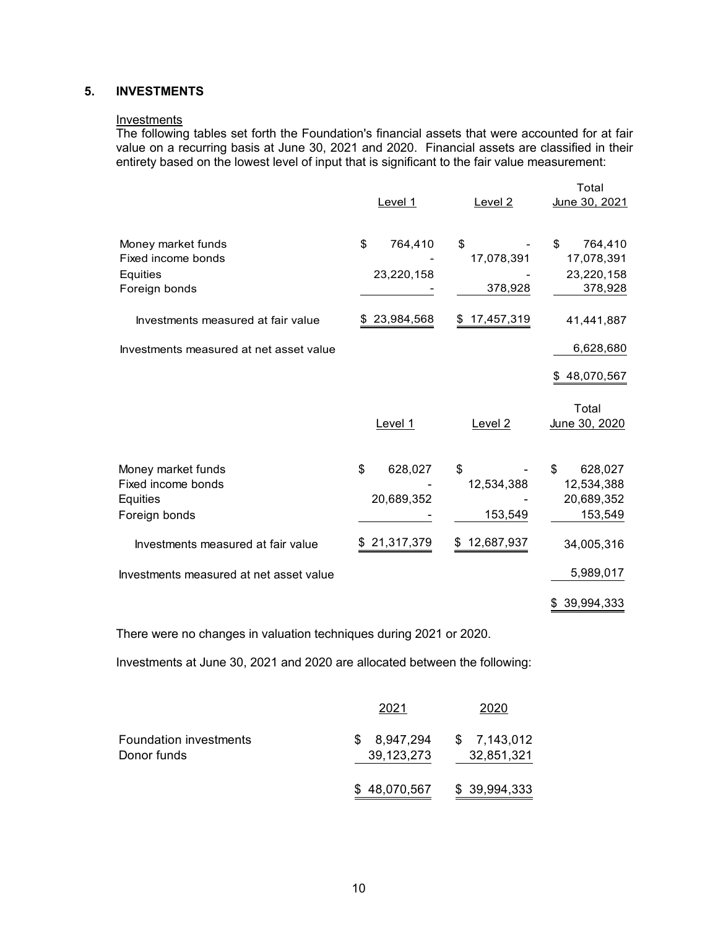### **5. INVESTMENTS**

#### Investments

The following tables set forth the Foundation's financial assets that were accounted for at fair value on a recurring basis at June 30, 2021 and 2020. Financial assets are classified in their entirety based on the lowest level of input that is significant to the fair value measurement:

|                                                                       | Level 1                     | Level <sub>2</sub>          | Total<br>June 30, 2021                               |
|-----------------------------------------------------------------------|-----------------------------|-----------------------------|------------------------------------------------------|
| Money market funds<br>Fixed income bonds<br>Equities<br>Foreign bonds | \$<br>764,410<br>23,220,158 | \$<br>17,078,391<br>378,928 | 764,410<br>\$<br>17,078,391<br>23,220,158<br>378,928 |
| Investments measured at fair value                                    | 23,984,568                  | 17,457,319<br>\$            | 41,441,887                                           |
| Investments measured at net asset value                               |                             |                             | 6,628,680                                            |
|                                                                       |                             |                             | 48,070,567<br>\$                                     |
|                                                                       | Level 1                     | Level <sub>2</sub>          | Total<br>June 30, 2020                               |
| Money market funds<br>Fixed income bonds<br>Equities<br>Foreign bonds | \$<br>628,027<br>20,689,352 | \$<br>12,534,388<br>153,549 | 628,027<br>\$<br>12,534,388<br>20,689,352<br>153,549 |
| Investments measured at fair value                                    | 21,317,379                  | 12,687,937                  | 34,005,316                                           |
| Investments measured at net asset value                               |                             |                             | 5,989,017                                            |
|                                                                       |                             |                             | 39,994,333<br>\$                                     |

There were no changes in valuation techniques during 2021 or 2020.

Investments at June 30, 2021 and 2020 are allocated between the following:

|                               | 2021         | 2020         |
|-------------------------------|--------------|--------------|
| <b>Foundation investments</b> | 8,947,294    | \$7,143,012  |
| Donor funds                   | 39,123,273   | 32,851,321   |
|                               | \$48,070,567 | \$39,994,333 |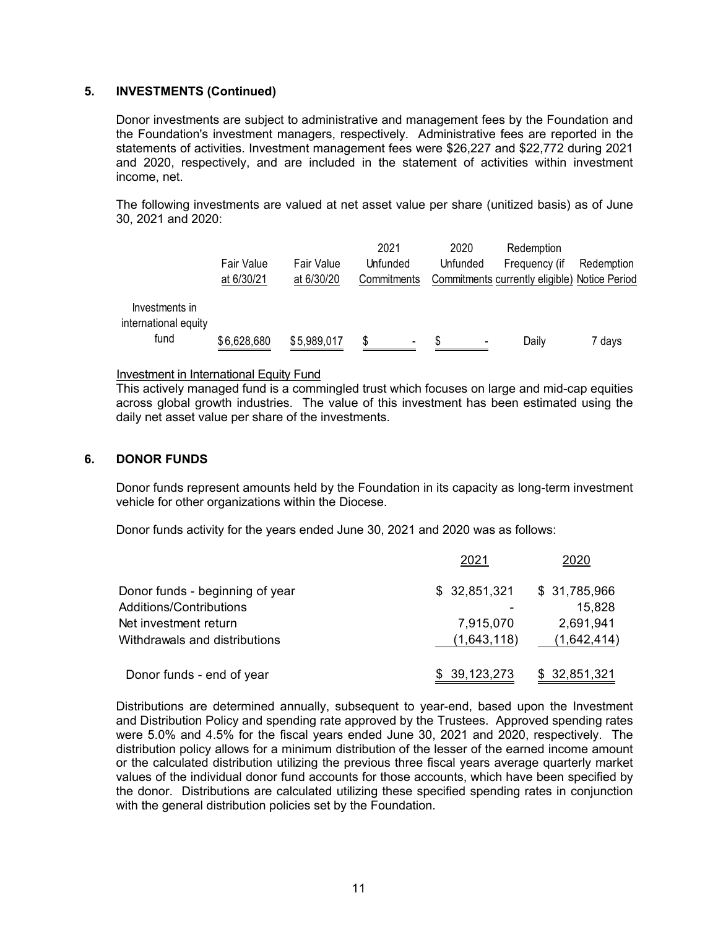### **5. INVESTMENTS (Continued)**

Donor investments are subject to administrative and management fees by the Foundation and the Foundation's investment managers, respectively. Administrative fees are reported in the statements of activities. Investment management fees were \$26,227 and \$22,772 during 2021 and 2020, respectively, and are included in the statement of activities within investment income, net.

The following investments are valued at net asset value per share (unitized basis) as of June 30, 2021 and 2020:

|                                                | <b>Fair Value</b><br>at 6/30/21 | <b>Fair Value</b><br>at 6/30/20 | 2021<br>Unfunded<br>Commitments | 2020<br>Unfunded      | Redemption<br>Frequency (if<br>Commitments currently eligible) Notice Period | Redemption |
|------------------------------------------------|---------------------------------|---------------------------------|---------------------------------|-----------------------|------------------------------------------------------------------------------|------------|
| Investments in<br>international equity<br>fund | \$6,628,680                     | \$5,989,017                     | S<br>٠                          | \$.<br>$\blacksquare$ | Daily                                                                        | 7 days     |

#### Investment in International Equity Fund

This actively managed fund is a commingled trust which focuses on large and mid-cap equities across global growth industries. The value of this investment has been estimated using the daily net asset value per share of the investments.

#### **6. DONOR FUNDS**

Donor funds represent amounts held by the Foundation in its capacity as long-term investment vehicle for other organizations within the Diocese.

Donor funds activity for the years ended June 30, 2021 and 2020 was as follows:

|                                 | 2021         | 2020         |
|---------------------------------|--------------|--------------|
| Donor funds - beginning of year | \$32,851,321 | \$31,785,966 |
| Additions/Contributions         |              | 15,828       |
| Net investment return           | 7,915,070    | 2,691,941    |
| Withdrawals and distributions   | (1,643,118)  | (1,642,414)  |
| Donor funds - end of year       | \$39,123,273 | \$32,851,321 |

Distributions are determined annually, subsequent to year-end, based upon the Investment and Distribution Policy and spending rate approved by the Trustees. Approved spending rates were 5.0% and 4.5% for the fiscal years ended June 30, 2021 and 2020, respectively. The distribution policy allows for a minimum distribution of the lesser of the earned income amount or the calculated distribution utilizing the previous three fiscal years average quarterly market values of the individual donor fund accounts for those accounts, which have been specified by the donor. Distributions are calculated utilizing these specified spending rates in conjunction with the general distribution policies set by the Foundation.